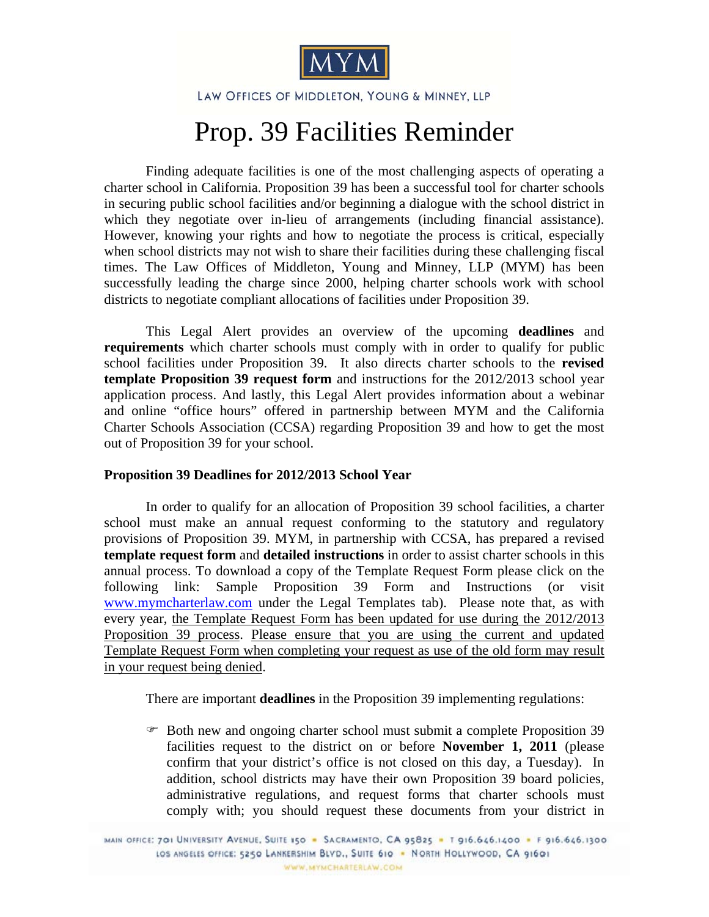

LAW OFFICES OF MIDDLETON, YOUNG & MINNEY, LLP

## Prop. 39 Facilities Reminder

Finding adequate facilities is one of the most challenging aspects of operating a charter school in California. Proposition 39 has been a successful tool for charter schools in securing public school facilities and/or beginning a dialogue with the school district in which they negotiate over in-lieu of arrangements (including financial assistance). However, knowing your rights and how to negotiate the process is critical, especially when school districts may not wish to share their facilities during these challenging fiscal times. The Law Offices of Middleton, Young and Minney, LLP (MYM) has been successfully leading the charge since 2000, helping charter schools work with school districts to negotiate compliant allocations of facilities under Proposition 39.

This Legal Alert provides an overview of the upcoming **deadlines** and **requirements** which charter schools must comply with in order to qualify for public school facilities under Proposition 39. It also directs charter schools to the **revised template Proposition 39 request form** and instructions for the 2012/2013 school year application process. And lastly, this Legal Alert provides information about a webinar and online "office hours" offered in partnership between MYM and the California Charter Schools Association (CCSA) regarding Proposition 39 and how to get the most out of Proposition 39 for your school.

## **Proposition 39 Deadlines for 2012/2013 School Year**

In order to qualify for an allocation of Proposition 39 school facilities, a charter school must make an annual request conforming to the statutory and regulatory provisions of Proposition 39. MYM, in partnership with CCSA, has prepared a revised **template request form** and **detailed instructions** in order to assist charter schools in this annual process. To download a copy of the Template Request Form please click on the following link: Sample Proposition 39 Form and Instructions (or visit www.mymcharterlaw.com under the Legal Templates tab). Please note that, as with every year, the Template Request Form has been updated for use during the 2012/2013 Proposition 39 process. Please ensure that you are using the current and updated Template Request Form when completing your request as use of the old form may result in your request being denied.

There are important **deadlines** in the Proposition 39 implementing regulations:

 Both new and ongoing charter school must submit a complete Proposition 39 facilities request to the district on or before **November 1, 2011** (please confirm that your district's office is not closed on this day, a Tuesday). In addition, school districts may have their own Proposition 39 board policies, administrative regulations, and request forms that charter schools must comply with; you should request these documents from your district in